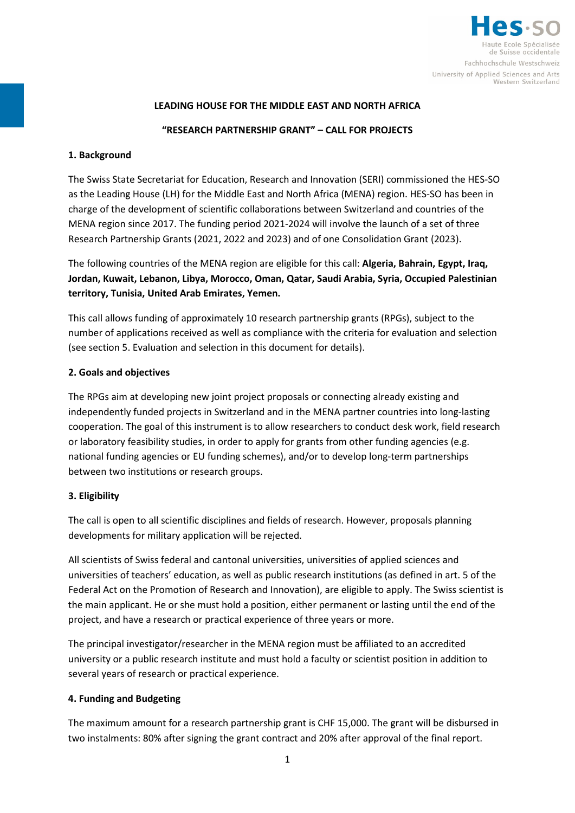

# **LEADING HOUSE FOR THE MIDDLE EAST AND NORTH AFRICA**

# **"RESEARCH PARTNERSHIP GRANT" – CALL FOR PROJECTS**

### **1. Background**

The Swiss State Secretariat for Education, Research and Innovation (SERI) commissioned the HES-SO as the Leading House (LH) for the Middle East and North Africa (MENA) region. HES-SO has been in charge of the development of scientific collaborations between Switzerland and countries of the MENA region since 2017. The funding period 2021-2024 will involve the launch of a set of three Research Partnership Grants (2021, 2022 and 2023) and of one Consolidation Grant (2023).

The following countries of the MENA region are eligible for this call: **Algeria, Bahrain, Egypt, Iraq, Jordan, Kuwait, Lebanon, Libya, Morocco, Oman, Qatar, Saudi Arabia, Syria, Occupied Palestinian territory, Tunisia, United Arab Emirates, Yemen.**

This call allows funding of approximately 10 research partnership grants (RPGs), subject to the number of applications received as well as compliance with the criteria for evaluation and selection (see section 5. Evaluation and selection in this document for details).

#### **2. Goals and objectives**

The RPGs aim at developing new joint project proposals or connecting already existing and independently funded projects in Switzerland and in the MENA partner countries into long-lasting cooperation. The goal of this instrument is to allow researchers to conduct desk work, field research or laboratory feasibility studies, in order to apply for grants from other funding agencies (e.g. national funding agencies or EU funding schemes), and/or to develop long-term partnerships between two institutions or research groups.

### **3. Eligibility**

The call is open to all scientific disciplines and fields of research. However, proposals planning developments for military application will be rejected.

All scientists of Swiss federal and cantonal universities, universities of applied sciences and universities of teachers' education, as well as public research institutions (as defined in art. 5 of the Federal Act on the Promotion of Research and Innovation), are eligible to apply. The Swiss scientist is the main applicant. He or she must hold a position, either permanent or lasting until the end of the project, and have a research or practical experience of three years or more.

The principal investigator/researcher in the MENA region must be affiliated to an accredited university or a public research institute and must hold a faculty or scientist position in addition to several years of research or practical experience.

### **4. Funding and Budgeting**

The maximum amount for a research partnership grant is CHF 15,000. The grant will be disbursed in two instalments: 80% after signing the grant contract and 20% after approval of the final report.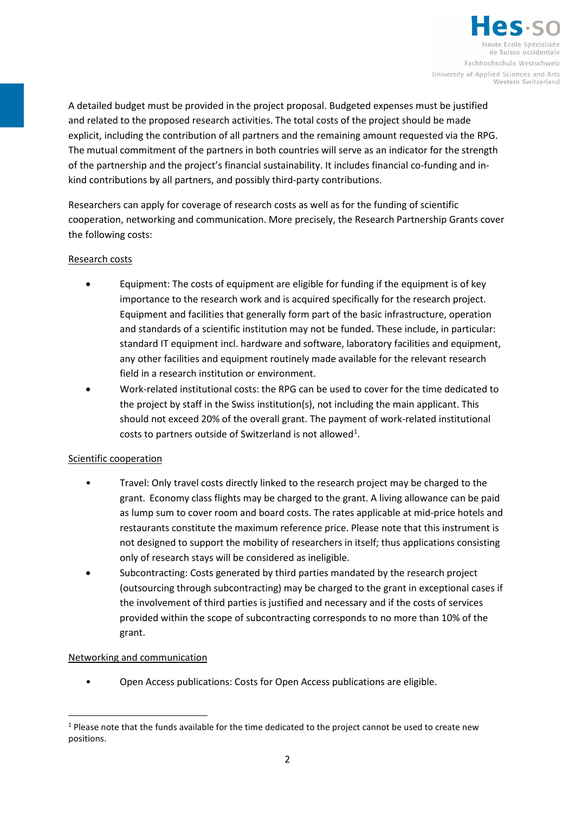

A detailed budget must be provided in the project proposal. Budgeted expenses must be justified and related to the proposed research activities. The total costs of the project should be made explicit, including the contribution of all partners and the remaining amount requested via the RPG. The mutual commitment of the partners in both countries will serve as an indicator for the strength of the partnership and the project's financial sustainability. It includes financial co-funding and inkind contributions by all partners, and possibly third-party contributions.

Researchers can apply for coverage of research costs as well as for the funding of scientific cooperation, networking and communication. More precisely, the Research Partnership Grants cover the following costs:

### Research costs

- Equipment: The costs of equipment are eligible for funding if the equipment is of key importance to the research work and is acquired specifically for the research project. Equipment and facilities that generally form part of the basic infrastructure, operation and standards of a scientific institution may not be funded. These include, in particular: standard IT equipment incl. hardware and software, laboratory facilities and equipment, any other facilities and equipment routinely made available for the relevant research field in a research institution or environment.
- Work-related institutional costs: the RPG can be used to cover for the time dedicated to the project by staff in the Swiss institution(s), not including the main applicant. This should not exceed 20% of the overall grant. The payment of work-related institutional costs to partners outside of Switzerland is not allowed<sup>[1](#page-1-0)</sup>.

### Scientific cooperation

- Travel: Only travel costs directly linked to the research project may be charged to the grant. Economy class flights may be charged to the grant. A living allowance can be paid as lump sum to cover room and board costs. The rates applicable at mid-price hotels and restaurants constitute the maximum reference price. Please note that this instrument is not designed to support the mobility of researchers in itself; thus applications consisting only of research stays will be considered as ineligible.
- Subcontracting: Costs generated by third parties mandated by the research project (outsourcing through subcontracting) may be charged to the grant in exceptional cases if the involvement of third parties is justified and necessary and if the costs of services provided within the scope of subcontracting corresponds to no more than 10% of the grant.

### Networking and communication

• Open Access publications: Costs for Open Access publications are eligible.

<span id="page-1-0"></span><sup>&</sup>lt;sup>1</sup> Please note that the funds available for the time dedicated to the project cannot be used to create new positions.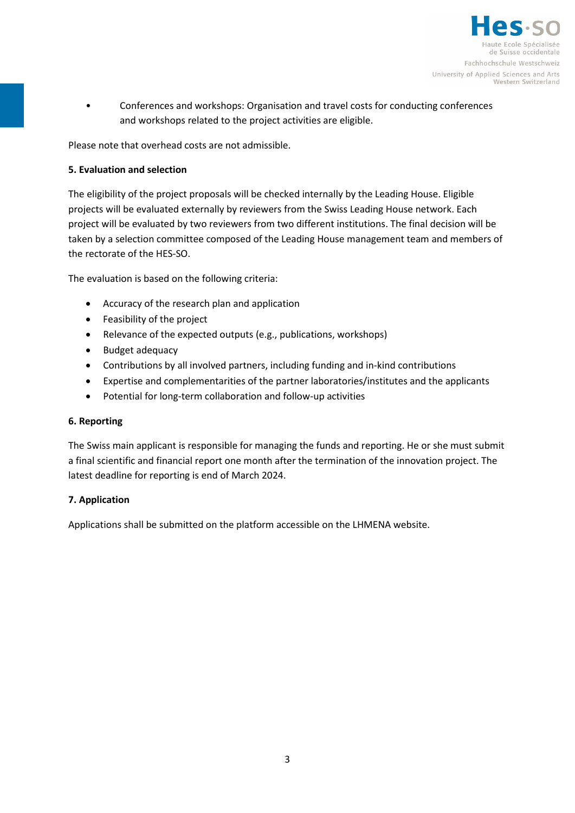

• Conferences and workshops: Organisation and travel costs for conducting conferences and workshops related to the project activities are eligible.

Please note that overhead costs are not admissible.

# **5. Evaluation and selection**

The eligibility of the project proposals will be checked internally by the Leading House. Eligible projects will be evaluated externally by reviewers from the Swiss Leading House network. Each project will be evaluated by two reviewers from two different institutions. The final decision will be taken by a selection committee composed of the Leading House management team and members of the rectorate of the HES-SO.

The evaluation is based on the following criteria:

- Accuracy of the research plan and application
- Feasibility of the project
- Relevance of the expected outputs (e.g., publications, workshops)
- Budget adequacy
- Contributions by all involved partners, including funding and in-kind contributions
- Expertise and complementarities of the partner laboratories/institutes and the applicants
- Potential for long-term collaboration and follow-up activities

# **6. Reporting**

The Swiss main applicant is responsible for managing the funds and reporting. He or she must submit a final scientific and financial report one month after the termination of the innovation project. The latest deadline for reporting is end of March 2024.

# **7. Application**

Applications shall be submitted on the platform accessible on the LHMENA website.